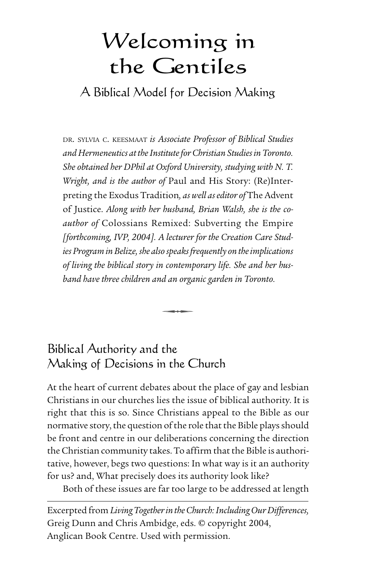# Welcoming in the Gentiles

# A Biblical Model for Decision Making

DR. SYLVIA C. KEESMAAT *is Associate Professor of Biblical Studies and Hermeneutics at the Institute for Christian Studies in Toronto. She obtained her DPhil at Oxford University, studying with N. T. Wright, and is the author of* Paul and His Story: (Re)Interpreting the Exodus Tradition*, as well as editor of* The Advent of Justice. *Along with her husband, Brian Walsh, she is the coauthor of* Colossians Remixed: Subverting the Empire *[forthcoming, IVP, 2004]. A lecturer for the Creation Care Studies Program in Belize, she also speaks frequently on the implications of living the biblical story in contemporary life. She and her husband have three children and an organic garden in Toronto.*

# Biblical Authority and the Making of Decisions in the Church

At the heart of current debates about the place of gay and lesbian Christians in our churches lies the issue of biblical authority. It is right that this is so. Since Christians appeal to the Bible as our normative story, the question of the role that the Bible plays should be front and centre in our deliberations concerning the direction the Christian community takes. To affirm that the Bible is authoritative, however, begs two questions: In what way is it an authority for us? and, What precisely does its authority look like?

Both of these issues are far too large to be addressed at length

Greig Dunn and Chris Ambidge, eds. © copyright 2004, Excerpted from *Living Together in the Church: Including Our Differences,* Anglican Book Centre. Used with permission.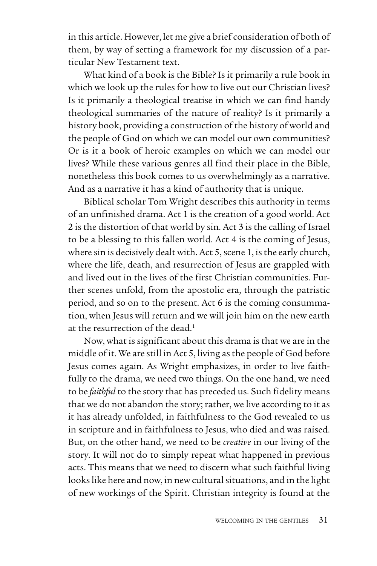in this article. However, let me give a brief consideration of both of them, by way of setting a framework for my discussion of a particular New Testament text.

What kind of a book is the Bible? Is it primarily a rule book in which we look up the rules for how to live out our Christian lives? Is it primarily a theological treatise in which we can find handy theological summaries of the nature of reality? Is it primarily a history book, providing a construction of the history of world and the people of God on which we can model our own communities? Or is it a book of heroic examples on which we can model our lives? While these various genres all find their place in the Bible, nonetheless this book comes to us overwhelmingly as a narrative. And as a narrative it has a kind of authority that is unique.

Biblical scholar Tom Wright describes this authority in terms of an unfinished drama. Act 1 is the creation of a good world. Act 2 is the distortion of that world by sin. Act 3 is the calling of Israel to be a blessing to this fallen world. Act 4 is the coming of Jesus, where sin is decisively dealt with. Act 5, scene 1, is the early church, where the life, death, and resurrection of Jesus are grappled with and lived out in the lives of the first Christian communities. Further scenes unfold, from the apostolic era, through the patristic period, and so on to the present. Act 6 is the coming consummation, when Jesus will return and we will join him on the new earth at the resurrection of the dead.<sup>1</sup>

Now, what is significant about this drama is that we are in the middle of it. We are still in Act 5, living as the people of God before Jesus comes again. As Wright emphasizes, in order to live faithfully to the drama, we need two things. On the one hand, we need to be *faithful* to the story that has preceded us. Such fidelity means that we do not abandon the story; rather, we live according to it as it has already unfolded, in faithfulness to the God revealed to us in scripture and in faithfulness to Jesus, who died and was raised. But, on the other hand, we need to be *creative* in our living of the story. It will not do to simply repeat what happened in previous acts. This means that we need to discern what such faithful living looks like here and now, in new cultural situations, and in the light of new workings of the Spirit. Christian integrity is found at the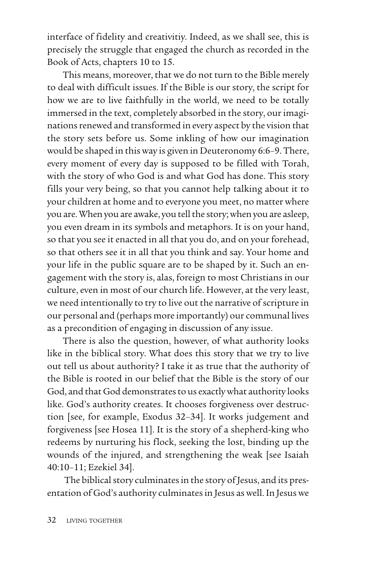interface of fidelity and creativitiy. Indeed, as we shall see, this is precisely the struggle that engaged the church as recorded in the Book of Acts, chapters 10 to 15.

This means, moreover, that we do not turn to the Bible merely to deal with difficult issues. If the Bible is our story, the script for how we are to live faithfully in the world, we need to be totally immersed in the text, completely absorbed in the story, our imaginations renewed and transformed in every aspect by the vision that the story sets before us. Some inkling of how our imagination would be shaped in this way is given in Deuteronomy 6:6–9. There, every moment of every day is supposed to be filled with Torah, with the story of who God is and what God has done. This story fills your very being, so that you cannot help talking about it to your children at home and to everyone you meet, no matter where you are. When you are awake, you tell the story; when you are asleep, you even dream in its symbols and metaphors. It is on your hand, so that you see it enacted in all that you do, and on your forehead, so that others see it in all that you think and say. Your home and your life in the public square are to be shaped by it. Such an engagement with the story is, alas, foreign to most Christians in our culture, even in most of our church life. However, at the very least, we need intentionally to try to live out the narrative of scripture in our personal and (perhaps more importantly) our communal lives as a precondition of engaging in discussion of any issue.

There is also the question, however, of what authority looks like in the biblical story. What does this story that we try to live out tell us about authority? I take it as true that the authority of the Bible is rooted in our belief that the Bible is the story of our God, and that God demonstrates to us exactly what authority looks like. God's authority creates. It chooses forgiveness over destruction [see, for example, Exodus 32–34]. It works judgement and forgiveness [see Hosea 11]. It is the story of a shepherd-king who redeems by nurturing his flock, seeking the lost, binding up the wounds of the injured, and strengthening the weak [see Isaiah 40:10–11; Ezekiel 34].

The biblical story culminates in the story of Jesus, and its presentation of God's authority culminates in Jesus as well. In Jesus we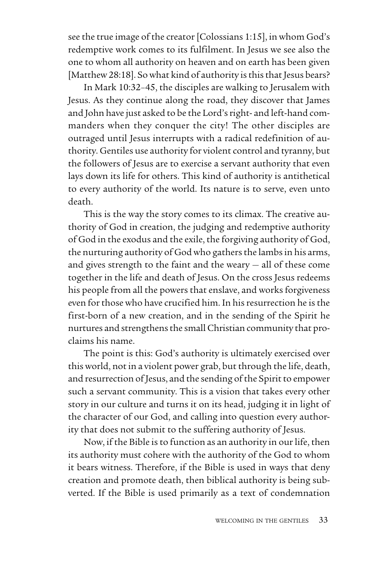see the true image of the creator [Colossians 1:15], in whom God's redemptive work comes to its fulfilment. In Jesus we see also the one to whom all authority on heaven and on earth has been given [Matthew 28:18]. So what kind of authority is this that Jesus bears?

In Mark 10:32–45, the disciples are walking to Jerusalem with Jesus. As they continue along the road, they discover that James and John have just asked to be the Lord's right- and left-hand commanders when they conquer the city! The other disciples are outraged until Jesus interrupts with a radical redefinition of authority. Gentiles use authority for violent control and tyranny, but the followers of Jesus are to exercise a servant authority that even lays down its life for others. This kind of authority is antithetical to every authority of the world. Its nature is to serve, even unto death.

This is the way the story comes to its climax. The creative authority of God in creation, the judging and redemptive authority of God in the exodus and the exile, the forgiving authority of God, the nurturing authority of God who gathers the lambs in his arms, and gives strength to the faint and the weary — all of these come together in the life and death of Jesus. On the cross Jesus redeems his people from all the powers that enslave, and works forgiveness even for those who have crucified him. In his resurrection he is the first-born of a new creation, and in the sending of the Spirit he nurtures and strengthens the small Christian community that proclaims his name.

The point is this: God's authority is ultimately exercised over this world, not in a violent power grab, but through the life, death, and resurrection of Jesus, and the sending of the Spirit to empower such a servant community. This is a vision that takes every other story in our culture and turns it on its head, judging it in light of the character of our God, and calling into question every authority that does not submit to the suffering authority of Jesus.

Now, if the Bible is to function as an authority in our life, then its authority must cohere with the authority of the God to whom it bears witness. Therefore, if the Bible is used in ways that deny creation and promote death, then biblical authority is being subverted. If the Bible is used primarily as a text of condemnation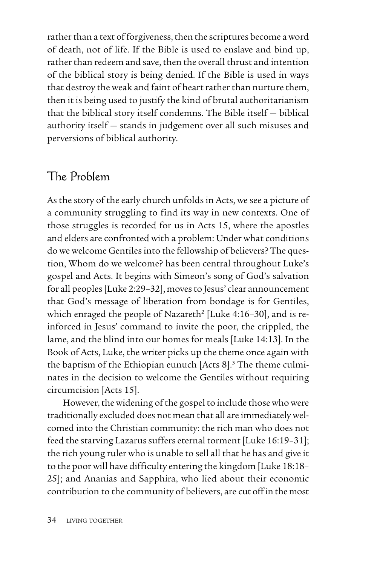rather than a text of forgiveness, then the scriptures become a word of death, not of life. If the Bible is used to enslave and bind up, rather than redeem and save, then the overall thrust and intention of the biblical story is being denied. If the Bible is used in ways that destroy the weak and faint of heart rather than nurture them, then it is being used to justify the kind of brutal authoritarianism that the biblical story itself condemns. The Bible itself — biblical authority itself — stands in judgement over all such misuses and perversions of biblical authority.

# The Problem

As the story of the early church unfolds in Acts, we see a picture of a community struggling to find its way in new contexts. One of those struggles is recorded for us in Acts 15, where the apostles and elders are confronted with a problem: Under what conditions do we welcome Gentiles into the fellowship of believers? The question, Whom do we welcome? has been central throughout Luke's gospel and Acts. It begins with Simeon's song of God's salvation for all peoples [Luke 2:29–32], moves to Jesus' clear announcement that God's message of liberation from bondage is for Gentiles, which enraged the people of Nazareth<sup>2</sup> [Luke 4:16-30], and is reinforced in Jesus' command to invite the poor, the crippled, the lame, and the blind into our homes for meals [Luke 14:13]. In the Book of Acts, Luke, the writer picks up the theme once again with the baptism of the Ethiopian eunuch [Acts 8].<sup>3</sup> The theme culminates in the decision to welcome the Gentiles without requiring circumcision [Acts 15].

However, the widening of the gospel to include those who were traditionally excluded does not mean that all are immediately welcomed into the Christian community: the rich man who does not feed the starving Lazarus suffers eternal torment [Luke 16:19–31]; the rich young ruler who is unable to sell all that he has and give it to the poor will have difficulty entering the kingdom [Luke 18:18– 25]; and Ananias and Sapphira, who lied about their economic contribution to the community of believers, are cut off in the most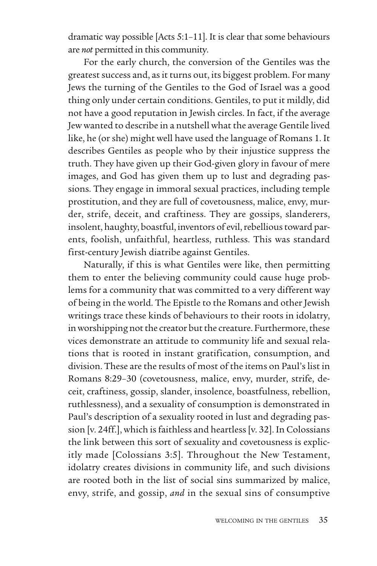dramatic way possible [Acts 5:1–11]. It is clear that some behaviours are *not* permitted in this community.

For the early church, the conversion of the Gentiles was the greatest success and, as it turns out, its biggest problem. For many Jews the turning of the Gentiles to the God of Israel was a good thing only under certain conditions. Gentiles, to put it mildly, did not have a good reputation in Jewish circles. In fact, if the average Jew wanted to describe in a nutshell what the average Gentile lived like, he (or she) might well have used the language of Romans 1. It describes Gentiles as people who by their injustice suppress the truth. They have given up their God-given glory in favour of mere images, and God has given them up to lust and degrading passions. They engage in immoral sexual practices, including temple prostitution, and they are full of covetousness, malice, envy, murder, strife, deceit, and craftiness. They are gossips, slanderers, insolent, haughty, boastful, inventors of evil, rebellious toward parents, foolish, unfaithful, heartless, ruthless. This was standard first-century Jewish diatribe against Gentiles.

Naturally, if this is what Gentiles were like, then permitting them to enter the believing community could cause huge problems for a community that was committed to a very different way of being in the world. The Epistle to the Romans and other Jewish writings trace these kinds of behaviours to their roots in idolatry, in worshipping not the creator but the creature. Furthermore, these vices demonstrate an attitude to community life and sexual relations that is rooted in instant gratification, consumption, and division. These are the results of most of the items on Paul's list in Romans 8:29–30 (covetousness, malice, envy, murder, strife, deceit, craftiness, gossip, slander, insolence, boastfulness, rebellion, ruthlessness), and a sexuality of consumption is demonstrated in Paul's description of a sexuality rooted in lust and degrading passion [v. 24ff.], which is faithless and heartless [v. 32]. In Colossians the link between this sort of sexuality and covetousness is explicitly made [Colossians 3:5]. Throughout the New Testament, idolatry creates divisions in community life, and such divisions are rooted both in the list of social sins summarized by malice, envy, strife, and gossip, *and* in the sexual sins of consumptive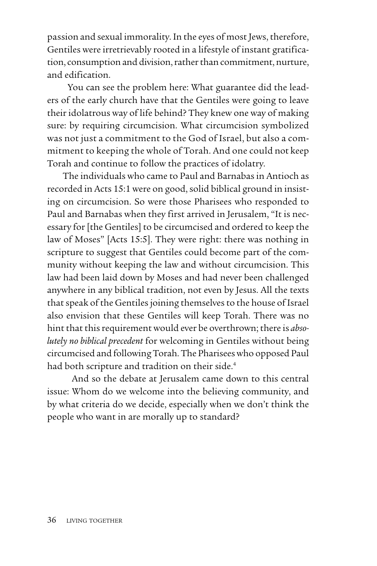passion and sexual immorality. In the eyes of most Jews, therefore, Gentiles were irretrievably rooted in a lifestyle of instant gratification, consumption and division, rather than commitment, nurture, and edification.

You can see the problem here: What guarantee did the leaders of the early church have that the Gentiles were going to leave their idolatrous way of life behind? They knew one way of making sure: by requiring circumcision. What circumcision symbolized was not just a commitment to the God of Israel, but also a commitment to keeping the whole of Torah. And one could not keep Torah and continue to follow the practices of idolatry.

The individuals who came to Paul and Barnabas in Antioch as recorded in Acts 15:1 were on good, solid biblical ground in insisting on circumcision. So were those Pharisees who responded to Paul and Barnabas when they first arrived in Jerusalem, "It is necessary for [the Gentiles] to be circumcised and ordered to keep the law of Moses" [Acts 15:5]. They were right: there was nothing in scripture to suggest that Gentiles could become part of the community without keeping the law and without circumcision. This law had been laid down by Moses and had never been challenged anywhere in any biblical tradition, not even by Jesus. All the texts that speak of the Gentiles joining themselves to the house of Israel also envision that these Gentiles will keep Torah. There was no hint that this requirement would ever be overthrown; there is *absolutely no biblical precedent* for welcoming in Gentiles without being circumcised and following Torah. The Pharisees who opposed Paul had both scripture and tradition on their side.<sup>4</sup>

And so the debate at Jerusalem came down to this central issue: Whom do we welcome into the believing community, and by what criteria do we decide, especially when we don't think the people who want in are morally up to standard?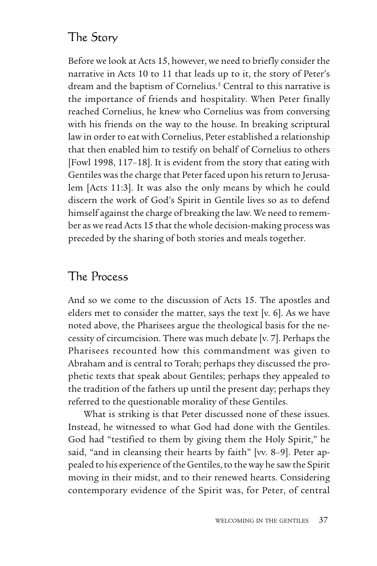# The Story

Before we look at Acts 15, however, we need to briefly consider the narrative in Acts 10 to 11 that leads up to it, the story of Peter's dream and the baptism of Cornelius.<sup>5</sup> Central to this narrative is the importance of friends and hospitality. When Peter finally reached Cornelius, he knew who Cornelius was from conversing with his friends on the way to the house. In breaking scriptural law in order to eat with Cornelius, Peter established a relationship that then enabled him to testify on behalf of Cornelius to others [Fowl 1998, 117–18]. It is evident from the story that eating with Gentiles was the charge that Peter faced upon his return to Jerusalem [Acts 11:3]. It was also the only means by which he could discern the work of God's Spirit in Gentile lives so as to defend himself against the charge of breaking the law. We need to remember as we read Acts 15 that the whole decision-making process was preceded by the sharing of both stories and meals together.

#### The Process

And so we come to the discussion of Acts 15. The apostles and elders met to consider the matter, says the text [v.  $6$ ]. As we have noted above, the Pharisees argue the theological basis for the necessity of circumcision. There was much debate [v. 7]. Perhaps the Pharisees recounted how this commandment was given to Abraham and is central to Torah; perhaps they discussed the prophetic texts that speak about Gentiles; perhaps they appealed to the tradition of the fathers up until the present day; perhaps they referred to the questionable morality of these Gentiles.

What is striking is that Peter discussed none of these issues. Instead, he witnessed to what God had done with the Gentiles. God had "testified to them by giving them the Holy Spirit," he said, "and in cleansing their hearts by faith" [vv. 8–9]. Peter appealed to his experience of the Gentiles, to the way he saw the Spirit moving in their midst, and to their renewed hearts. Considering contemporary evidence of the Spirit was, for Peter, of central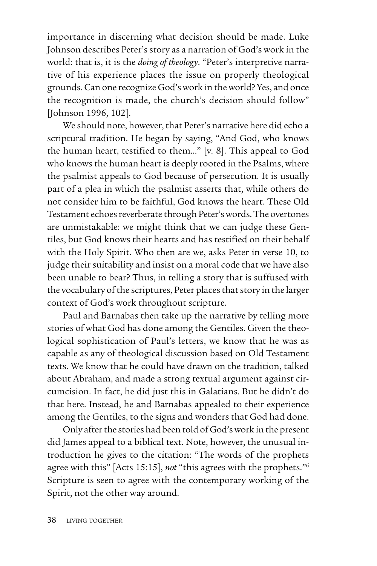importance in discerning what decision should be made. Luke Johnson describes Peter's story as a narration of God's work in the world: that is, it is the *doing of theology*. "Peter's interpretive narrative of his experience places the issue on properly theological grounds. Can one recognize God's work in the world? Yes, and once the recognition is made, the church's decision should follow" [Johnson 1996, 102].

We should note, however, that Peter's narrative here did echo a scriptural tradition. He began by saying, "And God, who knows the human heart, testified to them…" [v. 8]. This appeal to God who knows the human heart is deeply rooted in the Psalms, where the psalmist appeals to God because of persecution. It is usually part of a plea in which the psalmist asserts that, while others do not consider him to be faithful, God knows the heart. These Old Testament echoes reverberate through Peter's words. The overtones are unmistakable: we might think that we can judge these Gentiles, but God knows their hearts and has testified on their behalf with the Holy Spirit. Who then are we, asks Peter in verse 10, to judge their suitability and insist on a moral code that we have also been unable to bear? Thus, in telling a story that is suffused with the vocabulary of the scriptures, Peter places that story in the larger context of God's work throughout scripture.

Paul and Barnabas then take up the narrative by telling more stories of what God has done among the Gentiles. Given the theological sophistication of Paul's letters, we know that he was as capable as any of theological discussion based on Old Testament texts. We know that he could have drawn on the tradition, talked about Abraham, and made a strong textual argument against circumcision. In fact, he did just this in Galatians. But he didn't do that here. Instead, he and Barnabas appealed to their experience among the Gentiles, to the signs and wonders that God had done.

Only after the stories had been told of God's work in the present did James appeal to a biblical text. Note, however, the unusual introduction he gives to the citation: "The words of the prophets agree with this" [Acts 15:15], *not* "this agrees with the prophets."6 Scripture is seen to agree with the contemporary working of the Spirit, not the other way around.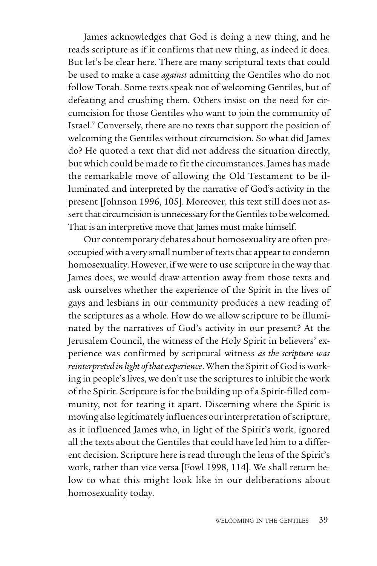James acknowledges that God is doing a new thing, and he reads scripture as if it confirms that new thing, as indeed it does. But let's be clear here. There are many scriptural texts that could be used to make a case *against* admitting the Gentiles who do not follow Torah. Some texts speak not of welcoming Gentiles, but of defeating and crushing them. Others insist on the need for circumcision for those Gentiles who want to join the community of Israel.7 Conversely, there are no texts that support the position of welcoming the Gentiles without circumcision. So what did James do? He quoted a text that did not address the situation directly, but which could be made to fit the circumstances. James has made the remarkable move of allowing the Old Testament to be illuminated and interpreted by the narrative of God's activity in the present [Johnson 1996, 105]. Moreover, this text still does not assert that circumcision is unnecessary for the Gentiles to be welcomed. That is an interpretive move that James must make himself.

Our contemporary debates about homosexuality are often preoccupied with a very small number of texts that appear to condemn homosexuality. However, if we were to use scripture in the way that James does, we would draw attention away from those texts and ask ourselves whether the experience of the Spirit in the lives of gays and lesbians in our community produces a new reading of the scriptures as a whole. How do we allow scripture to be illuminated by the narratives of God's activity in our present? At the Jerusalem Council, the witness of the Holy Spirit in believers' experience was confirmed by scriptural witness *as the scripture was reinterpreted in light of that experience*. When the Spirit of God is working in people's lives, we don't use the scriptures to inhibit the work of the Spirit. Scripture is for the building up of a Spirit-filled community, not for tearing it apart. Discerning where the Spirit is moving also legitimately influences our interpretation of scripture, as it influenced James who, in light of the Spirit's work, ignored all the texts about the Gentiles that could have led him to a different decision. Scripture here is read through the lens of the Spirit's work, rather than vice versa [Fowl 1998, 114]. We shall return below to what this might look like in our deliberations about homosexuality today.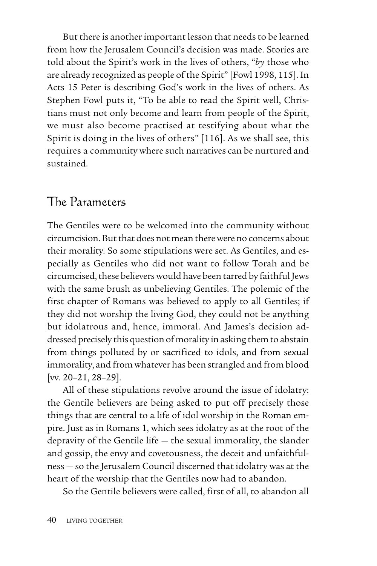But there is another important lesson that needs to be learned from how the Jerusalem Council's decision was made. Stories are told about the Spirit's work in the lives of others, "*by* those who are already recognized as people of the Spirit" [Fowl 1998, 115]. In Acts 15 Peter is describing God's work in the lives of others. As Stephen Fowl puts it, "To be able to read the Spirit well, Christians must not only become and learn from people of the Spirit, we must also become practised at testifying about what the Spirit is doing in the lives of others" [116]. As we shall see, this requires a community where such narratives can be nurtured and sustained.

#### The Parameters

The Gentiles were to be welcomed into the community without circumcision. But that does not mean there were no concerns about their morality. So some stipulations were set. As Gentiles, and especially as Gentiles who did not want to follow Torah and be circumcised, these believers would have been tarred by faithful Jews with the same brush as unbelieving Gentiles. The polemic of the first chapter of Romans was believed to apply to all Gentiles; if they did not worship the living God, they could not be anything but idolatrous and, hence, immoral. And James's decision addressed precisely this question of morality in asking them to abstain from things polluted by or sacrificed to idols, and from sexual immorality, and from whatever has been strangled and from blood [vv. 20–21, 28–29].

All of these stipulations revolve around the issue of idolatry: the Gentile believers are being asked to put off precisely those things that are central to a life of idol worship in the Roman empire. Just as in Romans 1, which sees idolatry as at the root of the depravity of the Gentile life — the sexual immorality, the slander and gossip, the envy and covetousness, the deceit and unfaithfulness — so the Jerusalem Council discerned that idolatry was at the heart of the worship that the Gentiles now had to abandon.

So the Gentile believers were called, first of all, to abandon all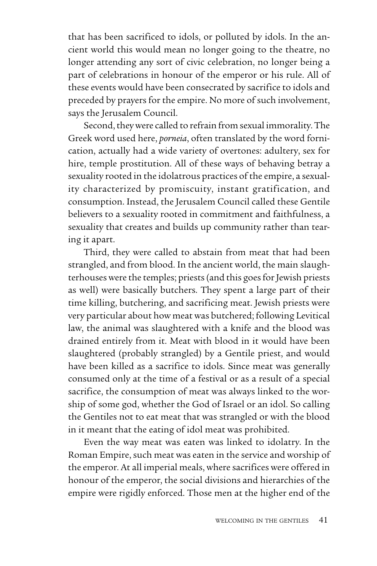that has been sacrificed to idols, or polluted by idols. In the ancient world this would mean no longer going to the theatre, no longer attending any sort of civic celebration, no longer being a part of celebrations in honour of the emperor or his rule. All of these events would have been consecrated by sacrifice to idols and preceded by prayers for the empire. No more of such involvement, says the Jerusalem Council.

Second, they were called to refrain from sexual immorality. The Greek word used here, *porneia*, often translated by the word fornication, actually had a wide variety of overtones: adultery, sex for hire, temple prostitution. All of these ways of behaving betray a sexuality rooted in the idolatrous practices of the empire, a sexuality characterized by promiscuity, instant gratification, and consumption. Instead, the Jerusalem Council called these Gentile believers to a sexuality rooted in commitment and faithfulness, a sexuality that creates and builds up community rather than tearing it apart.

Third, they were called to abstain from meat that had been strangled, and from blood. In the ancient world, the main slaughterhouses were the temples; priests (and this goes for Jewish priests as well) were basically butchers. They spent a large part of their time killing, butchering, and sacrificing meat. Jewish priests were very particular about how meat was butchered; following Levitical law, the animal was slaughtered with a knife and the blood was drained entirely from it. Meat with blood in it would have been slaughtered (probably strangled) by a Gentile priest, and would have been killed as a sacrifice to idols. Since meat was generally consumed only at the time of a festival or as a result of a special sacrifice, the consumption of meat was always linked to the worship of some god, whether the God of Israel or an idol. So calling the Gentiles not to eat meat that was strangled or with the blood in it meant that the eating of idol meat was prohibited.

Even the way meat was eaten was linked to idolatry. In the Roman Empire, such meat was eaten in the service and worship of the emperor. At all imperial meals, where sacrifices were offered in honour of the emperor, the social divisions and hierarchies of the empire were rigidly enforced. Those men at the higher end of the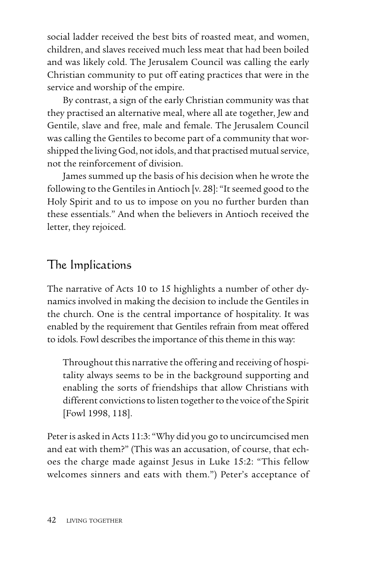social ladder received the best bits of roasted meat, and women, children, and slaves received much less meat that had been boiled and was likely cold. The Jerusalem Council was calling the early Christian community to put off eating practices that were in the service and worship of the empire.

By contrast, a sign of the early Christian community was that they practised an alternative meal, where all ate together, Jew and Gentile, slave and free, male and female. The Jerusalem Council was calling the Gentiles to become part of a community that worshipped the living God, not idols, and that practised mutual service, not the reinforcement of division.

James summed up the basis of his decision when he wrote the following to the Gentiles in Antioch [v. 28]: "It seemed good to the Holy Spirit and to us to impose on you no further burden than these essentials." And when the believers in Antioch received the letter, they rejoiced.

# The Implications

The narrative of Acts 10 to 15 highlights a number of other dynamics involved in making the decision to include the Gentiles in the church. One is the central importance of hospitality. It was enabled by the requirement that Gentiles refrain from meat offered to idols. Fowl describes the importance of this theme in this way:

Throughout this narrative the offering and receiving of hospitality always seems to be in the background supporting and enabling the sorts of friendships that allow Christians with different convictions to listen together to the voice of the Spirit [Fowl 1998, 118].

Peter is asked in Acts 11:3: "Why did you go to uncircumcised men and eat with them?" (This was an accusation, of course, that echoes the charge made against Jesus in Luke 15:2: "This fellow welcomes sinners and eats with them.") Peter's acceptance of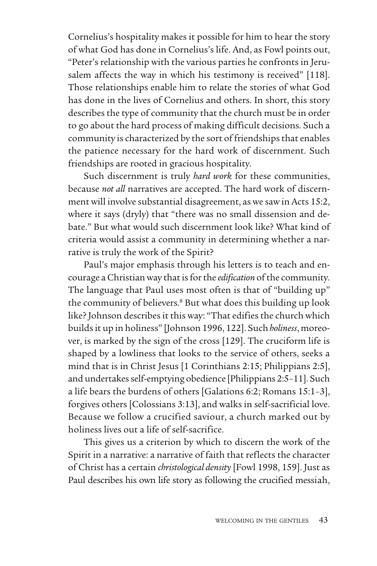Cornelius's hospitality makes it possible for him to hear the story of what God has done in Cornelius's life. And, as Fowl points out, "Peter's relationship with the various parties he confronts in Jerusalem affects the way in which his testimony is received" [118]. Those relationships enable him to relate the stories of what God has done in the lives of Cornelius and others. In short, this story describes the type of community that the church must be in order to go about the hard process of making difficult decisions. Such a community is characterized by the sort of friendships that enables the patience necessary for the hard work of discernment. Such friendships are rooted in gracious hospitality.

Such discernment is truly *hard work* for these communities, because *not all* narratives are accepted. The hard work of discernment will involve substantial disagreement, as we saw in Acts 15:2, where it says (dryly) that "there was no small dissension and debate." But what would such discernment look like? What kind of criteria would assist a community in determining whether a narrative is truly the work of the Spirit?

Paul's major emphasis through his letters is to teach and encourage a Christian way that is for the *edification* of the community. The language that Paul uses most often is that of "building up" the community of believers.<sup>8</sup> But what does this building up look like? Johnson describes it this way: "That edifies the church which builds it up in holiness" [Johnson 1996, 122]. Such *holiness*, moreover, is marked by the sign of the cross [129]. The cruciform life is shaped by a lowliness that looks to the service of others, seeks a mind that is in Christ Jesus [1 Corinthians 2:15; Philippians 2:5], and undertakes self-emptying obedience [Philippians 2:5–11]. Such a life bears the burdens of others [Galations 6:2; Romans 15:1–3], forgives others [Colossians 3:13], and walks in self-sacrificial love. Because we follow a crucified saviour, a church marked out by holiness lives out a life of self-sacrifice.

This gives us a criterion by which to discern the work of the Spirit in a narrative: a narrative of faith that reflects the character of Christ has a certain *christological density* [Fowl 1998, 159]. Just as Paul describes his own life story as following the crucified messiah,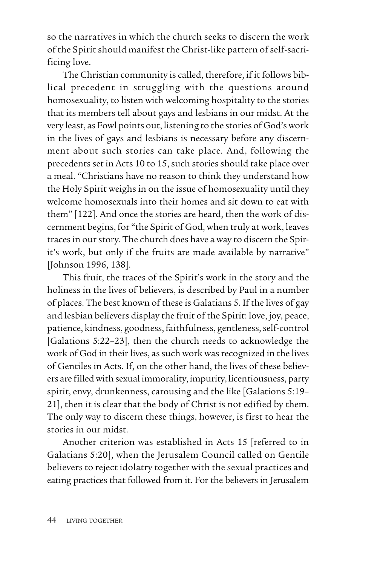so the narratives in which the church seeks to discern the work of the Spirit should manifest the Christ-like pattern of self-sacrificing love.

The Christian community is called, therefore, if it follows biblical precedent in struggling with the questions around homosexuality, to listen with welcoming hospitality to the stories that its members tell about gays and lesbians in our midst. At the very least, as Fowl points out, listening to the stories of God's work in the lives of gays and lesbians is necessary before any discernment about such stories can take place. And, following the precedents set in Acts 10 to 15, such stories should take place over a meal. "Christians have no reason to think they understand how the Holy Spirit weighs in on the issue of homosexuality until they welcome homosexuals into their homes and sit down to eat with them" [122]. And once the stories are heard, then the work of discernment begins, for "the Spirit of God, when truly at work, leaves traces in our story. The church does have a way to discern the Spirit's work, but only if the fruits are made available by narrative" [Johnson 1996, 138].

This fruit, the traces of the Spirit's work in the story and the holiness in the lives of believers, is described by Paul in a number of places. The best known of these is Galatians 5. If the lives of gay and lesbian believers display the fruit of the Spirit: love, joy, peace, patience, kindness, goodness, faithfulness, gentleness, self-control [Galations 5:22–23], then the church needs to acknowledge the work of God in their lives, as such work was recognized in the lives of Gentiles in Acts. If, on the other hand, the lives of these believers are filled with sexual immorality, impurity, licentiousness, party spirit, envy, drunkenness, carousing and the like [Galations 5:19– 21], then it is clear that the body of Christ is not edified by them. The only way to discern these things, however, is first to hear the stories in our midst.

Another criterion was established in Acts 15 [referred to in Galatians 5:20], when the Jerusalem Council called on Gentile believers to reject idolatry together with the sexual practices and eating practices that followed from it. For the believers in Jerusalem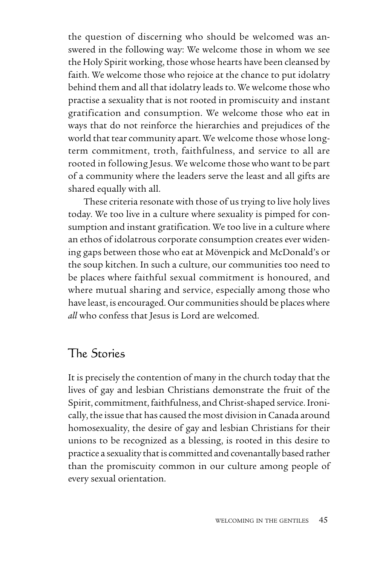the question of discerning who should be welcomed was answered in the following way: We welcome those in whom we see the Holy Spirit working, those whose hearts have been cleansed by faith. We welcome those who rejoice at the chance to put idolatry behind them and all that idolatry leads to. We welcome those who practise a sexuality that is not rooted in promiscuity and instant gratification and consumption. We welcome those who eat in ways that do not reinforce the hierarchies and prejudices of the world that tear community apart. We welcome those whose longterm commitment, troth, faithfulness, and service to all are rooted in following Jesus. We welcome those who want to be part of a community where the leaders serve the least and all gifts are shared equally with all.

These criteria resonate with those of us trying to live holy lives today. We too live in a culture where sexuality is pimped for consumption and instant gratification. We too live in a culture where an ethos of idolatrous corporate consumption creates ever widening gaps between those who eat at Mövenpick and McDonald's or the soup kitchen. In such a culture, our communities too need to be places where faithful sexual commitment is honoured, and where mutual sharing and service, especially among those who have least, is encouraged. Our communities should be places where *all* who confess that Jesus is Lord are welcomed.

#### The Stories

It is precisely the contention of many in the church today that the lives of gay and lesbian Christians demonstrate the fruit of the Spirit, commitment, faithfulness, and Christ-shaped service. Ironically, the issue that has caused the most division in Canada around homosexuality, the desire of gay and lesbian Christians for their unions to be recognized as a blessing, is rooted in this desire to practice a sexuality that is committed and covenantally based rather than the promiscuity common in our culture among people of every sexual orientation.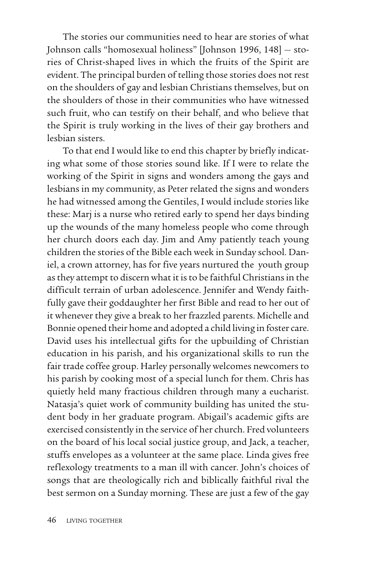The stories our communities need to hear are stories of what Johnson calls "homosexual holiness" [Johnson 1996, 148] — stories of Christ-shaped lives in which the fruits of the Spirit are evident. The principal burden of telling those stories does not rest on the shoulders of gay and lesbian Christians themselves, but on the shoulders of those in their communities who have witnessed such fruit, who can testify on their behalf, and who believe that the Spirit is truly working in the lives of their gay brothers and lesbian sisters.

To that end I would like to end this chapter by briefly indicating what some of those stories sound like. If I were to relate the working of the Spirit in signs and wonders among the gays and lesbians in my community, as Peter related the signs and wonders he had witnessed among the Gentiles, I would include stories like these: Marj is a nurse who retired early to spend her days binding up the wounds of the many homeless people who come through her church doors each day. Jim and Amy patiently teach young children the stories of the Bible each week in Sunday school. Daniel, a crown attorney, has for five years nurtured the youth group as they attempt to discern what it is to be faithful Christians in the difficult terrain of urban adolescence. Jennifer and Wendy faithfully gave their goddaughter her first Bible and read to her out of it whenever they give a break to her frazzled parents. Michelle and Bonnie opened their home and adopted a child living in foster care. David uses his intellectual gifts for the upbuilding of Christian education in his parish, and his organizational skills to run the fair trade coffee group. Harley personally welcomes newcomers to his parish by cooking most of a special lunch for them. Chris has quietly held many fractious children through many a eucharist. Natasja's quiet work of community building has united the student body in her graduate program. Abigail's academic gifts are exercised consistently in the service of her church. Fred volunteers on the board of his local social justice group, and Jack, a teacher, stuffs envelopes as a volunteer at the same place. Linda gives free reflexology treatments to a man ill with cancer. John's choices of songs that are theologically rich and biblically faithful rival the best sermon on a Sunday morning. These are just a few of the gay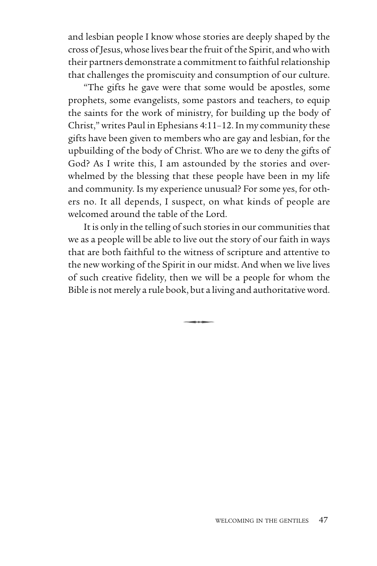and lesbian people I know whose stories are deeply shaped by the cross of Jesus, whose lives bear the fruit of the Spirit, and who with their partners demonstrate a commitment to faithful relationship that challenges the promiscuity and consumption of our culture.

"The gifts he gave were that some would be apostles, some prophets, some evangelists, some pastors and teachers, to equip the saints for the work of ministry, for building up the body of Christ," writes Paul in Ephesians 4:11–12. In my community these gifts have been given to members who are gay and lesbian, for the upbuilding of the body of Christ. Who are we to deny the gifts of God? As I write this, I am astounded by the stories and overwhelmed by the blessing that these people have been in my life and community. Is my experience unusual? For some yes, for others no. It all depends, I suspect, on what kinds of people are welcomed around the table of the Lord.

It is only in the telling of such stories in our communities that we as a people will be able to live out the story of our faith in ways that are both faithful to the witness of scripture and attentive to the new working of the Spirit in our midst. And when we live lives of such creative fidelity, then we will be a people for whom the Bible is not merely a rule book, but a living and authoritative word.

 $\begin{picture}(20,20) \put(0,0){\line(1,0){150}} \put(0,0){\line(1,0){150}} \put(0,0){\line(1,0){150}} \put(0,0){\line(1,0){150}} \put(0,0){\line(1,0){150}} \put(0,0){\line(1,0){150}} \put(0,0){\line(1,0){150}} \put(0,0){\line(1,0){150}} \put(0,0){\line(1,0){150}} \put(0,0){\line(1,0){150}} \put(0,0){\line(1,0){150}} \put(0,0){\line(1$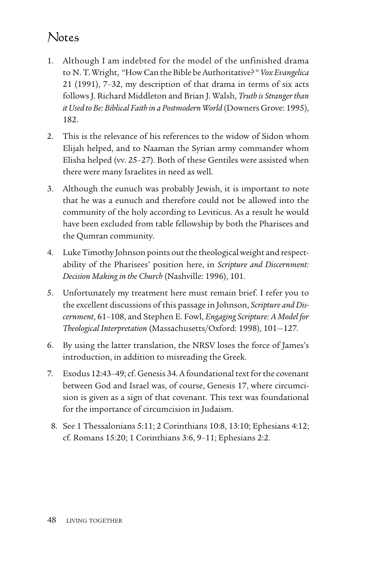# Notes

- 1. Although I am indebted for the model of the unfinished drama to N. T. Wright, "How Can the Bible be Authoritative? " *Vox Evangelica* 21 (1991), 7–32, my description of that drama in terms of six acts follows J. Richard Middleton and Brian J. Walsh, *Truth is Stranger than it Used to Be: Biblical Faith in a Postmodern World* (Downers Grove: 1995), 182.
- 2. This is the relevance of his references to the widow of Sidon whom Elijah helped, and to Naaman the Syrian army commander whom Elisha helped (vv. 25–27). Both of these Gentiles were assisted when there were many Israelites in need as well.
- 3. Although the eunuch was probably Jewish, it is important to note that he was a eunuch and therefore could not be allowed into the community of the holy according to Leviticus. As a result he would have been excluded from table fellowship by both the Pharisees and the Qumran community.
- 4. Luke Timothy Johnson points out the theological weight and respectability of the Pharisees' position here, in *Scripture and Discernment: Decision Making in the Church* (Nashville: 1996), 101.
- 5. Unfortunately my treatment here must remain brief. I refer you to the excellent discussions of this passage in Johnson, *Scripture and Discernment*, 61–108, and Stephen E. Fowl, *Engaging Scripture: A Model for Theological Interpretation* (Massachusetts/Oxford: 1998), 101—127.
- 6. By using the latter translation, the NRSV loses the force of James's introduction, in addition to misreading the Greek.
- 7. Exodus 12:43–49; cf. Genesis 34. A foundational text for the covenant between God and Israel was, of course, Genesis 17, where circumcision is given as a sign of that covenant. This text was foundational for the importance of circumcision in Judaism.
	- 8. See 1 Thessalonians 5:11; 2 Corinthians 10:8, 13:10; Ephesians 4:12; cf. Romans 15:20; 1 Corinthians 3:6, 9–11; Ephesians 2:2.